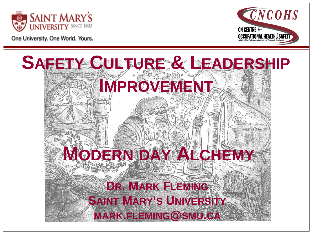



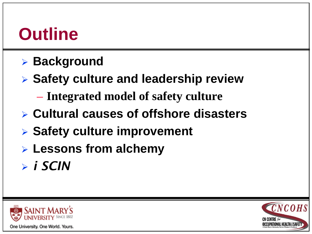## **Outline**

- **Background**
- **Safety culture and leadership review**
	- **Integrated model of safety culture**
- **Cultural causes of offshore disasters**
- **Safety culture improvement**
- **Lessons from alchemy**
- *i SCIN*



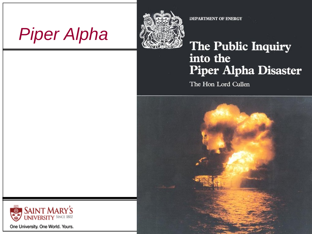



DEPARTMENT OF ENERGY

#### The Public Inquiry into the **Piper Alpha Disaster**

The Hon Lord Cullen



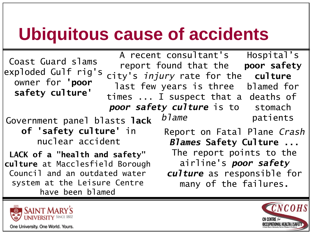## **Ubiquitous cause of accidents**

Government panel blasts **lack of 'safety culture'** in nuclear accident Hospital's **poor safety culture**  blamed for deaths of stomach patients Coast Guard slams exploded Gulf rig's owner for **'poor safety culture'** Report on Fatal Plane *Crash Blames* **Safety Culture ...**  The report points to the airline's *poor safety culture* as responsible for many of the failures**.** A recent consultant's report found that the city's *injury* rate for the last few years is three times ... I suspect that a *poor safety culture* is to *blame* **LACK of a "health and safety" culture** at Macclesfield Borough Council and an outdated water system at the Leisure Centre have been blamed



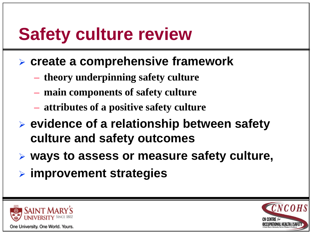# **Safety culture review**

- **create a comprehensive framework**
	- **theory underpinning safety culture**
	- **main components of safety culture**
	- **attributes of a positive safety culture**
- **evidence of a relationship between safety culture and safety outcomes**
- **ways to assess or measure safety culture,**
- **improvement strategies**



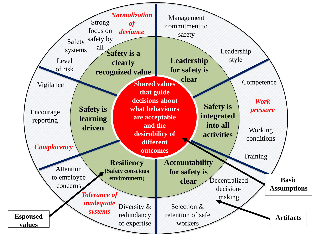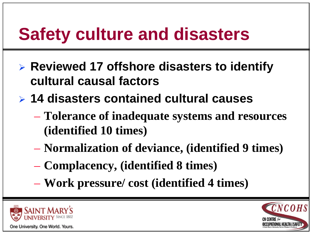# **Safety culture and disasters**

- **Reviewed 17 offshore disasters to identify cultural causal factors**
- **14 disasters contained cultural causes**
	- **Tolerance of inadequate systems and resources (identified 10 times)**
	- **Normalization of deviance, (identified 9 times)**
	- **Complacency, (identified 8 times)**
	- **Work pressure/ cost (identified 4 times)**



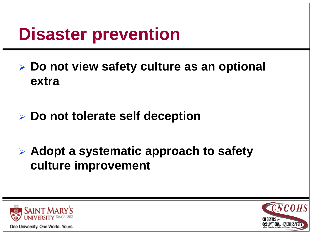# **Disaster prevention**

- **Do not view safety culture as an optional extra**
- **Do not tolerate self deception**
- **Adopt a systematic approach to safety culture improvement**



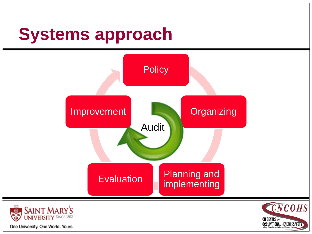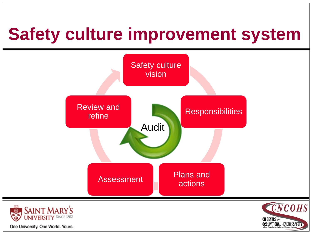# **Safety culture improvement system**

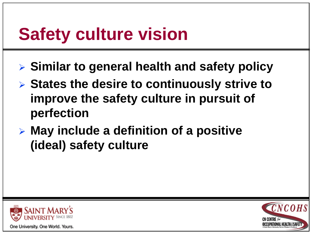# **Safety culture vision**

- **Similar to general health and safety policy**
- **States the desire to continuously strive to improve the safety culture in pursuit of perfection**
- **May include a definition of a positive (ideal) safety culture**



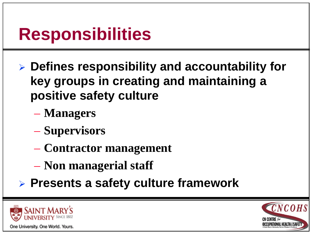## **Responsibilities**

- **Defines responsibility and accountability for key groups in creating and maintaining a positive safety culture**
	- **Managers**
	- **Supervisors**
	- **Contractor management**
	- **Non managerial staff**
- **Presents a safety culture framework**



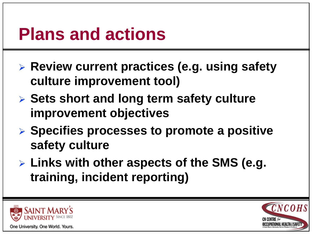### **Plans and actions**

- **Review current practices (e.g. using safety culture improvement tool)**
- **Sets short and long term safety culture improvement objectives**
- **Specifies processes to promote a positive safety culture**
- **Links with other aspects of the SMS (e.g. training, incident reporting)**



One University. One World. Yours.

 $\overline{C}NCOHS$ **CN CENTRE** for **OCCUPATIONAL HEALTH & SAFETY**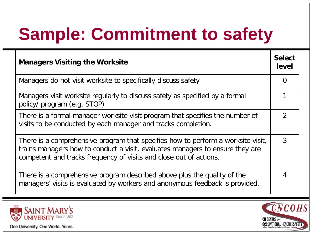# **Sample: Commitment to safety**

| <b>Managers Visiting the Worksite</b>                                                                                                                                                                                                   | <b>Select</b><br>level |
|-----------------------------------------------------------------------------------------------------------------------------------------------------------------------------------------------------------------------------------------|------------------------|
| Managers do not visit worksite to specifically discuss safety                                                                                                                                                                           | 0                      |
| Managers visit worksite regularly to discuss safety as specified by a formal<br>policy/ program (e.g. STOP)                                                                                                                             |                        |
| There is a formal manager worksite visit program that specifies the number of<br>visits to be conducted by each manager and tracks completion.                                                                                          | $\mathcal{P}$          |
| There is a comprehensive program that specifies how to perform a worksite visit,<br>trains managers how to conduct a visit, evaluates managers to ensure they are<br>competent and tracks frequency of visits and close out of actions. | 3                      |
| There is a comprehensive program described above plus the quality of the<br>managers' visits is evaluated by workers and anonymous feedback is provided.                                                                                | 4                      |



**CNCOHS CN CENTRE** for **OCCUPATIONAL HEALTH & SAFETY**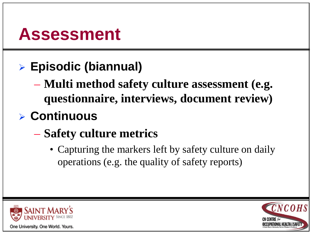#### **Assessment**

- **Episodic (biannual)**
	- **Multi method safety culture assessment (e.g. questionnaire, interviews, document review)**
- **Continuous**
	- **Safety culture metrics** 
		- Capturing the markers left by safety culture on daily operations (e.g. the quality of safety reports)



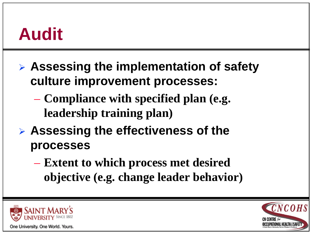### **Audit**

- **Assessing the implementation of safety culture improvement processes:**
	- **Compliance with specified plan (e.g. leadership training plan)**
- **Assessing the effectiveness of the processes**
	- **Extent to which process met desired objective (e.g. change leader behavior)**



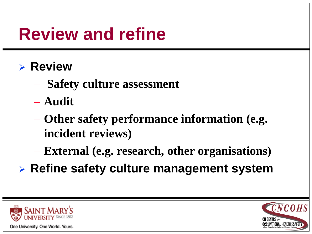## **Review and refine**

#### **Review**

- **Safety culture assessment**
- **Audit**
- **Other safety performance information (e.g. incident reviews)**
- **External (e.g. research, other organisations)**
- **Refine safety culture management system**



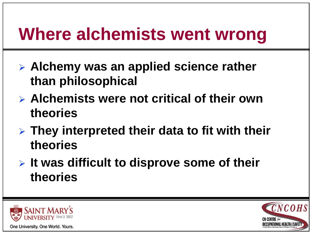## **Where alchemists went wrong**

- **Alchemy was an applied science rather than philosophical**
- **Alchemists were not critical of their own theories**
- **They interpreted their data to fit with their theories**
- **It was difficult to disprove some of their theories**



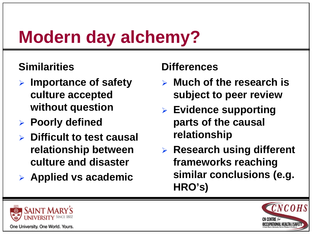# **Modern day alchemy?**

#### **Similarities**

- **Importance of safety culture accepted without question**
- **Poorly defined**
- **Difficult to test causal relationship between culture and disaster**
- **Applied vs academic**

#### **Differences**

- **Much of the research is subject to peer review**
- **Evidence supporting parts of the causal relationship**
- **Research using different frameworks reaching similar conclusions (e.g. HRO's)**



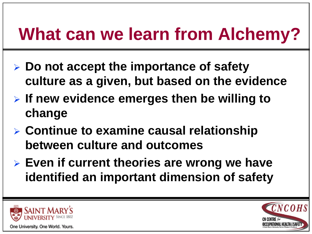# **What can we learn from Alchemy?**

- **Do not accept the importance of safety culture as a given, but based on the evidence**
- **If new evidence emerges then be willing to change**
- **Continue to examine causal relationship between culture and outcomes**
- **Even if current theories are wrong we have identified an important dimension of safety**



One University. One World. Yours.

CNCOH **CN CENTRE** for **OCCUPATIONAL HEALTH & SAFETY**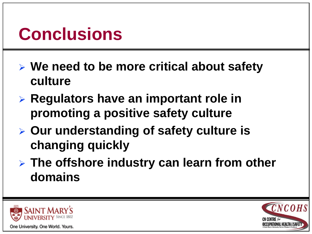# **Conclusions**

- **We need to be more critical about safety culture**
- **Regulators have an important role in promoting a positive safety culture**
- **Our understanding of safety culture is changing quickly**
- **The offshore industry can learn from other domains**



One University. One World. Yours.

**CNCOHS CN CENTRE** for **OCCUPATIONAL HEALTH & SAFETY**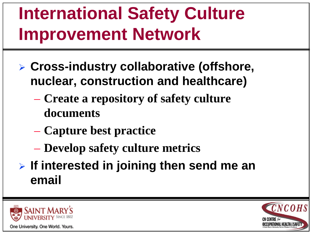# **International Safety Culture Improvement Network**

- **Cross-industry collaborative (offshore, nuclear, construction and healthcare)**
	- **Create a repository of safety culture documents**
	- **Capture best practice**
	- **Develop safety culture metrics**
- **If interested in joining then send me an email**



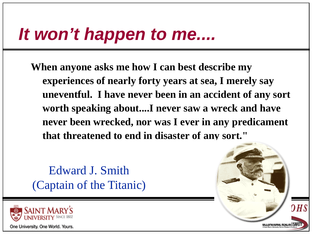### *It won't happen to me....*

**When anyone asks me how I can best describe my experiences of nearly forty years at sea, I merely say uneventful. I have never been in an accident of any sort worth speaking about....I never saw a wreck and have never been wrecked, nor was I ever in any predicament that threatened to end in disaster of any sort."**

Edward J. Smith (Captain of the Titanic)